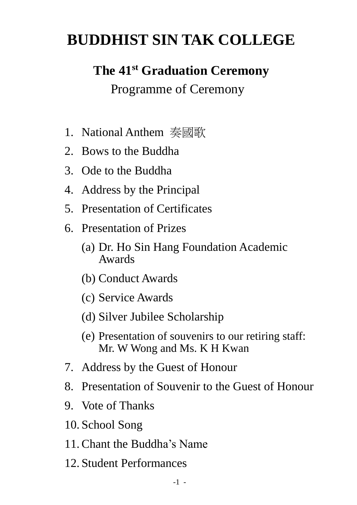# **BUDDHIST SIN TAK COLLEGE**

# **The 41st Graduation Ceremony**

Programme of Ceremony

- 1. National Anthem 奏國歌
- 2. Bows to the Buddha
- 3. Ode to the Buddha
- 4. Address by the Principal
- 5. Presentation of Certificates
- 6. Presentation of Prizes
	- (a) Dr. Ho Sin Hang Foundation Academic Awards
	- (b) Conduct Awards
	- (c) Service Awards
	- (d) Silver Jubilee Scholarship
	- (e) Presentation of souvenirs to our retiring staff: Mr. W Wong and Ms. K H Kwan
- 7. Address by the Guest of Honour
- 8. Presentation of Souvenir to the Guest of Honour
- 9. Vote of Thanks
- 10. School Song
- 11.Chant the Buddha's Name
- 12. Student Performances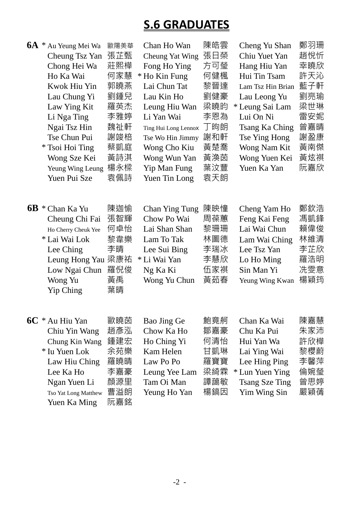## **S.6 GRADUATES**

|    | 6A * Au Yeung Mei Wa | 歐陽美華 | Chan Ho Wan            | 陳皓雲 | Cheng Yu Shan         | 鄭羽珊 |
|----|----------------------|------|------------------------|-----|-----------------------|-----|
|    | Cheung Tsz Yan       | 張芷甄  | <b>Cheung Yat Wing</b> | 張日榮 | Chiu Yuet Yan         | 趙悅忻 |
|    | Chong Hei Wa         | 莊熙樺  | Fong Ho Ying           | 方可瑩 | Hang Hiu Yan          | 幸曉欣 |
|    | Ho Ka Wai            | 何家慧  | * Ho Kin Fung          | 何健楓 | Hui Tin Tsam          | 許天沁 |
|    | Kwok Hiu Yin         | 郭曉燕  | Lai Chun Tat           | 黎晉達 | Lam Tsz Hin Brian     | 藍子軒 |
|    | Lau Chung Yi         | 劉鍾兒  | Lau Kin Ho             | 劉健豪 | Lau Leong Yu          | 劉亮瑜 |
|    | Law Ying Kit         | 羅英杰  | Leung Hiu Wan          | 梁曉昀 | * Leung Sai Lam       | 梁世琳 |
|    | Li Nga Ting          | 李雅婷  | Li Yan Wai             | 李恩為 | Lui On Ni             | 雷安妮 |
|    | Ngai Tsz Hin         | 魏祉軒  | Ting Hui Long Lennox   | 丁昫朗 | Tsang Ka Ching        | 曾嘉晴 |
|    | Tse Chun Pui         | 謝竣棓  | Tse Wo Hin Jimmy       | 謝和軒 | Tse Ying Hong         | 謝盈康 |
|    | * Tsoi Hoi Ting      | 蔡凱庭  | Wong Cho Kiu           | 黃楚喬 | Wong Nam Kit          | 黃南傑 |
|    | Wong Sze Kei         | 黃詩淇  | Wong Wun Yan           | 黃渙茵 | Wong Yuen Kei         | 黃炫祺 |
|    | Yeung Wing Leung     | 楊永樑  | Yip Man Fung           | 葉汶豐 | Yuen Ka Yan           | 阮嘉欣 |
|    | Yuen Pui Sze         | 袁佩詩  | Yuen Tin Long          | 袁天朗 |                       |     |
|    |                      |      |                        |     |                       |     |
| 6B | * Chan Ka Yu         | 陳迦愉  | <b>Chan Ying Tung</b>  | 陳映憧 | Cheng Yam Ho          | 鄭欽浩 |
|    | Cheung Chi Fai       | 張智輝  | Chow Po Wai            | 周葆蕙 | Feng Kai Feng         | 馮凱鋒 |
|    | Ho Cherry Cheuk Yee  | 何卓怡  | Lai Shan Shan          | 黎珊珊 | Lai Wai Chun          | 賴偉俊 |
|    | * Lai Wai Lok        | 黎韋樂  | Lam To Tak             | 林圖德 | Lam Wai Ching         | 林維清 |
|    | Lee Ching            | 李晴   | Lee Sui Bing           | 李瑞冰 | Lee Tsz Yan           | 李芷欣 |
|    | Leung Hong Yau 梁康祐   |      | * Li Wai Yan           | 李慧欣 | Lo Ho Ming            | 羅浩明 |
|    | Low Ngai Chun        | 羅倪俊  | Ng Ka Ki               | 伍家祺 | Sin Man Yi            | 冼雯意 |
|    | Wong Yu              | 黃禹   | Wong Yu Chun           | 黃茹春 | Yeung Wing Kwan       | 楊穎筠 |
|    | Yip Ching            | 葉晴   |                        |     |                       |     |
| 6C | * Au Hiu Yan         | 歐曉茵  | Bao Jing Ge            | 鮑竟舸 | Chan Ka Wai           | 陳嘉慧 |
|    | Chiu Yin Wang        | 趙彥泓  | Chow Ka Ho             | 鄒嘉豪 | Chu Ka Pui            | 朱家沛 |
|    | Chung Kin Wang       | 鍾建宏  | Ho Ching Yi            | 何清怡 | Hui Yan Wa            | 許欣樺 |
|    | * Iu Yuen Lok        | 余苑樂  | Kam Helen              | 甘凱琳 | Lai Ying Wai          | 黎櫻蔚 |
|    | Law Hiu Ching        | 羅曉晴  | Law Po Po              | 羅寶寶 | Lee Hing Ping         | 李馨萍 |
|    | Lee Ka Ho            | 李嘉豪  | Leung Yee Lam          | 梁綺霖 | * Lun Yuen Ying       | 倫婉瑩 |
|    | Ngan Yuen Li         | 顏源里  | Tam Oi Man             | 譚藹敏 | <b>Tsang Sze Ting</b> | 曾思婷 |
|    | Tso Yat Long Matthew | 曹溢朗  | Yeung Ho Yan           | 楊鎬因 | Yim Wing Sin          | 嚴穎蒨 |
|    | Yuen Ka Ming         | 阮嘉銘  |                        |     |                       |     |
|    |                      |      |                        |     |                       |     |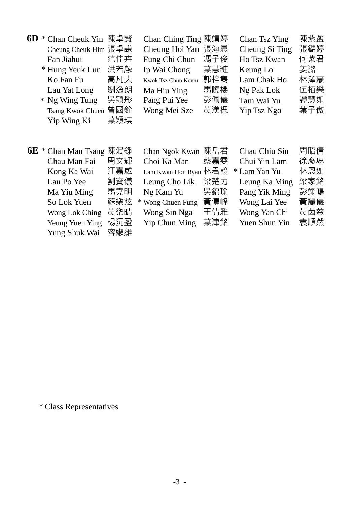| 6D | * Chan Cheuk Yin 陳卓賢       |            | Chan Ching Ting 陳靖婷 |     | Chan Tsz Ying  | 陳紫盈 |
|----|----------------------------|------------|---------------------|-----|----------------|-----|
|    | Cheung Cheuk Him 張卓謙       |            | Cheung Hoi Yan      | 張海恩 | Cheung Si Ting | 張鍶婷 |
|    | Fan Jiahui                 | 范佳卉        | Fung Chi Chun       | 馮子俊 | Ho Tsz Kwan    | 何紫君 |
|    | * Hung Yeuk Lun            | 洪若麟        | Ip Wai Chong        | 葉慧粧 | Keung Lo       | 姜潞  |
|    | Ko Fan Fu                  | 高凡夫        | Kwok Tsz Chun Kevin | 郭梓雋 | Lam Chak Ho    | 林澤豪 |
|    | Lau Yat Long               | 劉逸朗        | Ma Hiu Ying         | 馬曉櫻 | Ng Pak Lok     | 伍栢樂 |
|    | * Ng Wing Tung             | 吳穎彤        | Pang Pui Yee        | 彭佩儀 | Tam Wai Yu     | 譚慧如 |
|    | <b>Tsang Kwok Chuen</b>    | 曾國銓        | Wong Mei Sze        | 黃渼楒 | Yip Tsz Ngo    | 葉子傲 |
|    | Yip Wing Ki                | 葉穎琪        |                     |     |                |     |
|    |                            |            |                     |     |                |     |
|    |                            |            |                     |     |                |     |
|    |                            |            |                     |     |                |     |
|    | <b>6E</b> * Chan Man Tsang | 陳泯錚        | Chan Ngok Kwan      | 陳岳君 | Chau Chiu Sin  | 周昭倩 |
|    | Chau Man Fai               | 周文輝        | Choi Ka Man         | 蔡嘉雯 | Chui Yin Lam   | 徐彥琳 |
|    | Kong Ka Wai                | 江嘉威        | Lam Kwan Hon Ryan   | 林君翰 | * Lam Yan Yu   | 林恩如 |
|    | Lau Po Yee                 | 劉寶儀        | Leung Cho Lik       | 梁楚力 | Leung Ka Ming  | 梁家銘 |
|    | Ma Yiu Ming                | 馬堯明        | Ng Kam Yu           | 吳錦瑜 | Pang Yik Ming  | 彭翊鳴 |
|    | So Lok Yuen                | 蘇樂炫        | * Wong Chuen Fung   | 黃傳峰 | Wong Lai Yee   | 黃麗儀 |
|    | Wong Lok Ching             | 黃樂晴        | Wong Sin Nga        | 王倩雅 | Wong Yan Chi   | 黃茵慈 |
|    | Yeung Yuen Ying            | 楊沅盈<br>容婌維 | Yip Chun Ming       | 葉津銘 | Yuen Shun Yin  | 袁順然 |

\* Class Representatives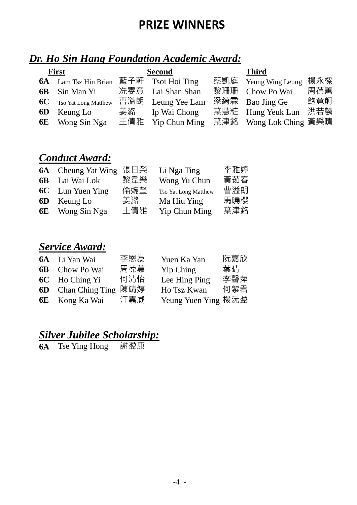### **PRIZE WINNERS**

#### *Dr. Ho Sin Hang Foundation Academic Award:*

| <b>First</b> |                                | <b>Second</b> |                   | <b>Third</b> |                        |     |
|--------------|--------------------------------|---------------|-------------------|--------------|------------------------|-----|
|              | <b>6A</b> Lam Tsz Hin Brian    |               | 藍子軒 Tsoi Hoi Ting | 蔡凱庭          | Yeung Wing Leung       | 楊永樑 |
|              | <b>6B</b> Sin Man Yi           |               | 冼雯意 Lai Shan Shan | 黎珊珊          | Chow Po Wai            | 周葆蕙 |
|              | <b>6C</b> Tso Yat Long Matthew |               | 曹溢朗 Leung Yee Lam |              | 梁綺霖 Bao Jing Ge        | 鮑竟舸 |
|              | <b>6D</b> Keung Lo             | 姜潞            | Ip Wai Chong      | 葉慧粧          | Hung Yeuk Lun          | 洪若麟 |
|              | <b>6E</b> Wong Sin Nga         | 王倩雅           | Yip Chun Ming     |              | 葉津銘 Wong Lok Ching 黃樂晴 |     |

#### *Conduct Award:*

| 6A Cheung Yat Wing 張日榮  |     | Li Nga Ting          | 李雅婷 |
|-------------------------|-----|----------------------|-----|
| <b>6B</b> Lai Wai Lok   | 黎韋樂 | Wong Yu Chun         | 黃茹春 |
| <b>6C</b> Lun Yuen Ying | 倫婉瑩 | Tso Yat Long Matthew | 曹溢朗 |
| <b>6D</b> Keung Lo      | 姜潞  | Ma Hiu Ying          | 馬曉櫻 |
| <b>6E</b> Wong Sin Nga  | 王倩雅 | Yip Chun Ming        | 葉津銘 |

#### *Service Award:*

| <b>6A</b> Li Yan Wai   | 李恩為 | Yuen Ka Yan         | 阮嘉欣 |
|------------------------|-----|---------------------|-----|
| <b>6B</b> Chow Po Wai  | 周葆蕙 | Yip Ching           | 葉晴  |
| <b>6C</b> Ho Ching Yi  | 何清怡 | Lee Hing Ping       | 李馨萍 |
| 6D Chan Ching Ting 陳靖婷 |     | Ho Tsz Kwan         | 何紫君 |
| <b>6E</b> Kong Ka Wai  | 江嘉威 | Yeung Yuen Ying 楊沅盈 |     |
|                        |     |                     |     |

#### *Silver Jubilee Scholarship:*

**6A** Tse Ying Hong 謝盈康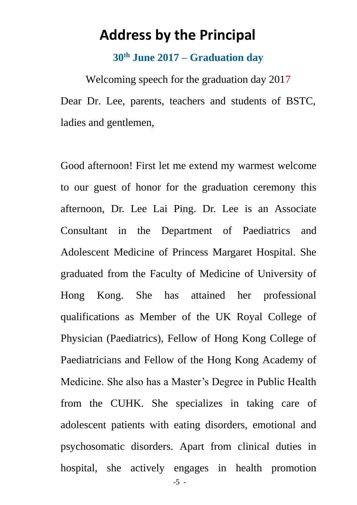## **Address by the Principal**

#### **30th June 2017 – Graduation day**

Welcoming speech for the graduation day 2017 Dear Dr. Lee, parents, teachers and students of BSTC, ladies and gentlemen,

Good afternoon! First let me extend my warmest welcome to our guest of honor for the graduation ceremony this afternoon, Dr. Lee Lai Ping. Dr. Lee is an Associate Consultant in the Department of Paediatrics and Adolescent Medicine of Princess Margaret Hospital. She graduated from the Faculty of Medicine of University of Hong Kong. She has attained her professional qualifications as Member of the UK Royal College of Physician (Paediatrics), Fellow of Hong Kong College of Paediatricians and Fellow of the Hong Kong Academy of Medicine. She also has a Master's Degree in Public Health from the CUHK. She specializes in taking care of adolescent patients with eating disorders, emotional and psychosomatic disorders. Apart from clinical duties in hospital, she actively engages in health promotion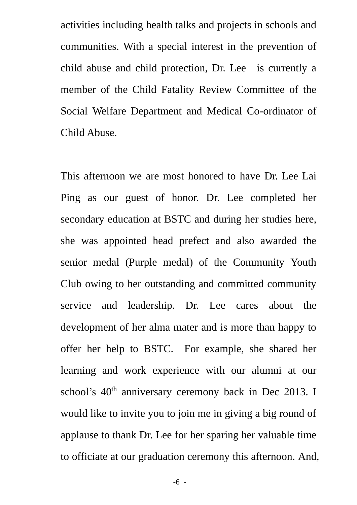activities including health talks and projects in schools and communities. With a special interest in the prevention of child abuse and child protection, Dr. Lee is currently a member of the Child Fatality Review Committee of the Social Welfare Department and Medical Co-ordinator of Child Abuse.

This afternoon we are most honored to have Dr. Lee Lai Ping as our guest of honor. Dr. Lee completed her secondary education at BSTC and during her studies here, she was appointed head prefect and also awarded the senior medal (Purple medal) of the Community Youth Club owing to her outstanding and committed community service and leadership. Dr. Lee cares about the development of her alma mater and is more than happy to offer her help to BSTC. For example, she shared her learning and work experience with our alumni at our school's 40<sup>th</sup> anniversary ceremony back in Dec 2013. I would like to invite you to join me in giving a big round of applause to thank Dr. Lee for her sparing her valuable time to officiate at our graduation ceremony this afternoon. And,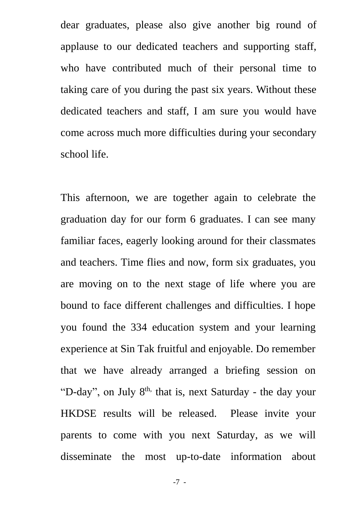dear graduates, please also give another big round of applause to our dedicated teachers and supporting staff, who have contributed much of their personal time to taking care of you during the past six years. Without these dedicated teachers and staff, I am sure you would have come across much more difficulties during your secondary school life.

This afternoon, we are together again to celebrate the graduation day for our form 6 graduates. I can see many familiar faces, eagerly looking around for their classmates and teachers. Time flies and now, form six graduates, you are moving on to the next stage of life where you are bound to face different challenges and difficulties. I hope you found the 334 education system and your learning experience at Sin Tak fruitful and enjoyable. Do remember that we have already arranged a briefing session on "D-day", on July 8<sup>th,</sup> that is, next Saturday - the day your HKDSE results will be released. Please invite your parents to come with you next Saturday, as we will disseminate the most up-to-date information about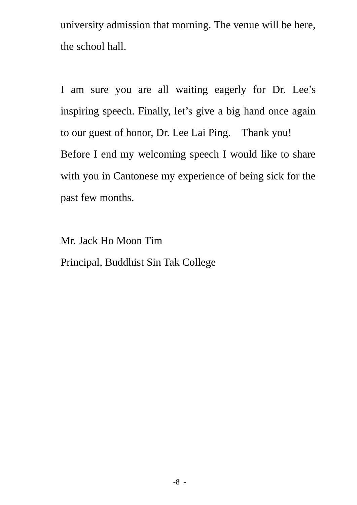university admission that morning. The venue will be here, the school hall.

I am sure you are all waiting eagerly for Dr. Lee's inspiring speech. Finally, let's give a big hand once again to our guest of honor, Dr. Lee Lai Ping. Thank you! Before I end my welcoming speech I would like to share with you in Cantonese my experience of being sick for the past few months.

Mr. Jack Ho Moon Tim Principal, Buddhist Sin Tak College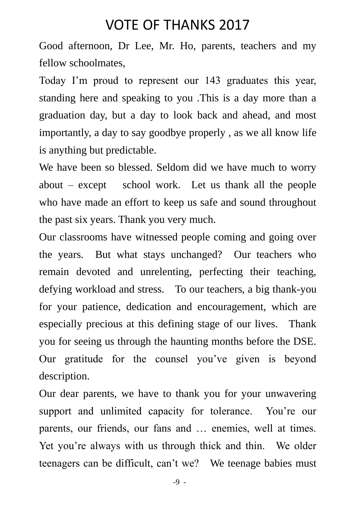### VOTE OF THANKS 2017

Good afternoon, Dr Lee, Mr. Ho, parents, teachers and my fellow schoolmates,

Today I'm proud to represent our 143 graduates this year, standing here and speaking to you .This is a day more than a graduation day, but a day to look back and ahead, and most importantly, a day to say goodbye properly , as we all know life is anything but predictable.

We have been so blessed. Seldom did we have much to worry about – except school work. Let us thank all the people who have made an effort to keep us safe and sound throughout the past six years. Thank you very much.

Our classrooms have witnessed people coming and going over the years. But what stays unchanged? Our teachers who remain devoted and unrelenting, perfecting their teaching, defying workload and stress. To our teachers, a big thank-you for your patience, dedication and encouragement, which are especially precious at this defining stage of our lives. Thank you for seeing us through the haunting months before the DSE. Our gratitude for the counsel you've given is beyond description.

Our dear parents, we have to thank you for your unwavering support and unlimited capacity for tolerance. You're our parents, our friends, our fans and … enemies, well at times. Yet you're always with us through thick and thin. We older teenagers can be difficult, can't we? We teenage babies must

-9 -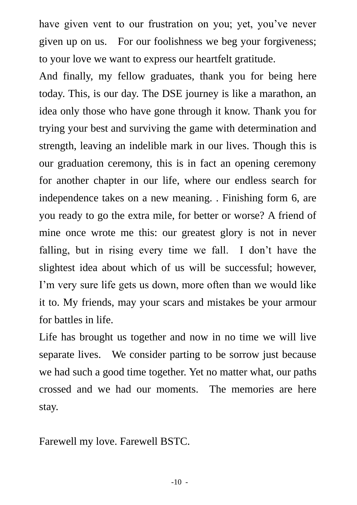have given vent to our frustration on you; yet, you've never given up on us. For our foolishness we beg your forgiveness; to your love we want to express our heartfelt gratitude.

And finally, my fellow graduates, thank you for being here today. This, is our day. The DSE journey is like a marathon, an idea only those who have gone through it know. Thank you for trying your best and surviving the game with determination and strength, leaving an indelible mark in our lives. Though this is our graduation ceremony, this is in fact an opening ceremony for another chapter in our life, where our endless search for independence takes on a new meaning. . Finishing form 6, are you ready to go the extra mile, for better or worse? A friend of mine once wrote me this: our greatest glory is not in never falling, but in rising every time we fall. I don't have the slightest idea about which of us will be successful; however, I'm very sure life gets us down, more often than we would like it to. My friends, may your scars and mistakes be your armour for battles in life.

Life has brought us together and now in no time we will live separate lives. We consider parting to be sorrow just because we had such a good time together. Yet no matter what, our paths crossed and we had our moments. The memories are here stay.

Farewell my love. Farewell BSTC.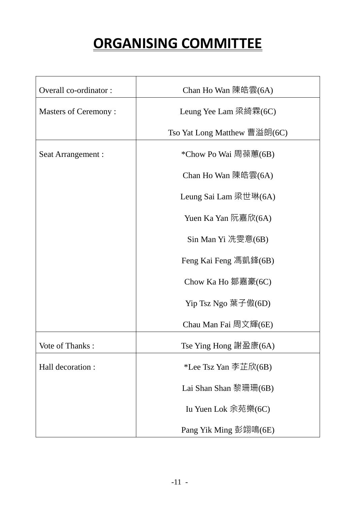# **ORGANISING COMMITTEE**

| Overall co-ordinator:       | Chan Ho Wan 陳皓雲(6A)          |  |  |
|-----------------------------|------------------------------|--|--|
| <b>Masters of Ceremony:</b> | Leung Yee Lam 梁綺霖(6C)        |  |  |
|                             | Tso Yat Long Matthew 曹溢朗(6C) |  |  |
| Seat Arrangement :          | *Chow Po Wai 周葆蕙(6B)         |  |  |
|                             | Chan Ho Wan 陳皓雲(6A)          |  |  |
|                             | Leung Sai Lam 梁世琳(6A)        |  |  |
|                             | Yuen Ka Yan 阮嘉欣(6A)          |  |  |
|                             | Sin Man Yi 冼雯意(6B)           |  |  |
|                             | Feng Kai Feng 馮凱鋒(6B)        |  |  |
|                             | Chow Ka Ho 鄒嘉豪(6C)           |  |  |
|                             | Yip Tsz Ngo 葉子傲(6D)          |  |  |
|                             | Chau Man Fai 周文輝(6E)         |  |  |
| Vote of Thanks:             | Tse Ying Hong 謝盈康(6A)        |  |  |
| Hall decoration :           | *Lee Tsz Yan 李芷欣(6B)         |  |  |
|                             | Lai Shan Shan 黎珊珊(6B)        |  |  |
|                             | Iu Yuen Lok 余苑樂(6C)          |  |  |
|                             | Pang Yik Ming 彭翊鳴(6E)        |  |  |